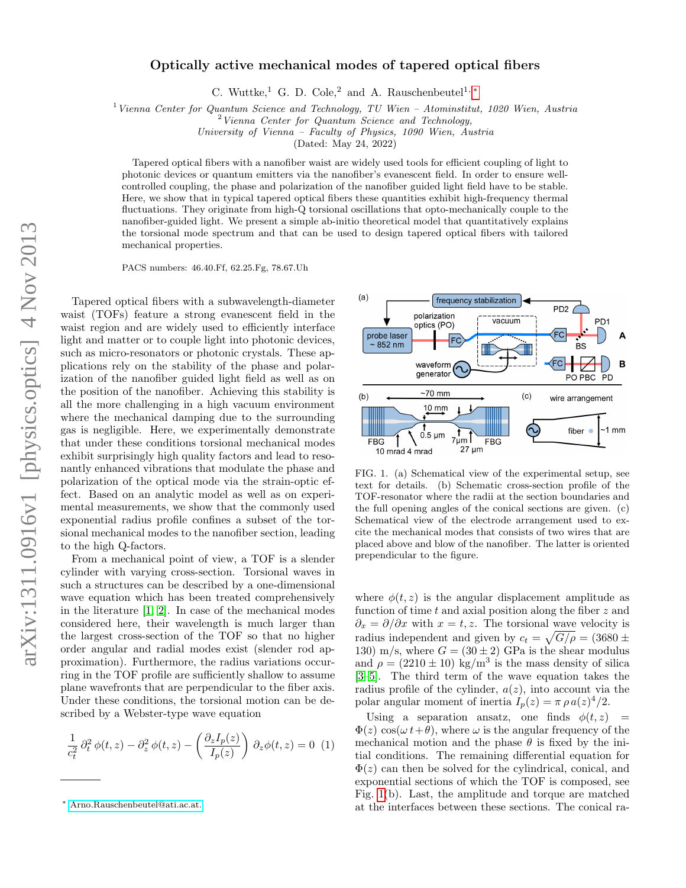## Optically active mechanical modes of tapered optical fibers

C. Wuttke,<sup>1</sup> G. D. Cole,<sup>2</sup> and A. Rauschenbeutel<sup>1,\*</sup>

 $1$  Vienna Center for Quantum Science and Technology, TU Wien – Atominstitut, 1020 Wien, Austria

 $2$  Vienna Center for Quantum Science and Technology,

University of Vienna – Faculty of Physics, 1090 Wien, Austria

(Dated: May 24, 2022)

Tapered optical fibers with a nanofiber waist are widely used tools for efficient coupling of light to photonic devices or quantum emitters via the nanofiber's evanescent field. In order to ensure wellcontrolled coupling, the phase and polarization of the nanofiber guided light field have to be stable. Here, we show that in typical tapered optical fibers these quantities exhibit high-frequency thermal fluctuations. They originate from high-Q torsional oscillations that opto-mechanically couple to the nanofiber-guided light. We present a simple ab-initio theoretical model that quantitatively explains the torsional mode spectrum and that can be used to design tapered optical fibers with tailored mechanical properties.

PACS numbers: 46.40.Ff, 62.25.Fg, 78.67.Uh

Tapered optical fibers with a subwavelength-diameter waist (TOFs) feature a strong evanescent field in the waist region and are widely used to efficiently interface light and matter or to couple light into photonic devices, such as micro-resonators or photonic crystals. These applications rely on the stability of the phase and polarization of the nanofiber guided light field as well as on the position of the nanofiber. Achieving this stability is all the more challenging in a high vacuum environment where the mechanical damping due to the surrounding gas is negligible. Here, we experimentally demonstrate that under these conditions torsional mechanical modes exhibit surprisingly high quality factors and lead to resonantly enhanced vibrations that modulate the phase and polarization of the optical mode via the strain-optic effect. Based on an analytic model as well as on experimental measurements, we show that the commonly used exponential radius profile confines a subset of the torsional mechanical modes to the nanofiber section, leading to the high Q-factors.

From a mechanical point of view, a TOF is a slender cylinder with varying cross-section. Torsional waves in such a structures can be described by a one-dimensional wave equation which has been treated comprehensively in the literature [\[1,](#page-4-0) [2\]](#page-4-1). In case of the mechanical modes considered here, their wavelength is much larger than the largest cross-section of the TOF so that no higher order angular and radial modes exist (slender rod approximation). Furthermore, the radius variations occurring in the TOF profile are sufficiently shallow to assume plane wavefronts that are perpendicular to the fiber axis. Under these conditions, the torsional motion can be described by a Webster-type wave equation

<span id="page-0-2"></span>
$$
\frac{1}{c_t^2} \partial_t^2 \phi(t, z) - \partial_z^2 \phi(t, z) - \left(\frac{\partial_z I_p(z)}{I_p(z)}\right) \partial_z \phi(t, z) = 0 \tag{1}
$$



<span id="page-0-1"></span>FIG. 1. (a) Schematical view of the experimental setup, see text for details. (b) Schematic cross-section profile of the TOF-resonator where the radii at the section boundaries and the full opening angles of the conical sections are given. (c) Schematical view of the electrode arrangement used to excite the mechanical modes that consists of two wires that are placed above and blow of the nanofiber. The latter is oriented prependicular to the figure.

where  $\phi(t, z)$  is the angular displacement amplitude as function of time  $t$  and axial position along the fiber  $z$  and  $\partial_x = \partial/\partial x$  with  $x = t, z$ . The torsional wave velocity is radius independent and given by  $c_t = \sqrt{G/\rho} = (3680 \pm$ 130) m/s, where  $G = (30 \pm 2)$  GPa is the shear modulus and  $\rho = (2210 \pm 10) \text{ kg/m}^3$  is the mass density of silica [\[3–](#page-4-2)[5\]](#page-4-3). The third term of the wave equation takes the radius profile of the cylinder,  $a(z)$ , into account via the polar angular moment of inertia  $I_p(z) = \pi \rho a(z)^4/2$ .

Using a separation ansatz, one finds  $\phi(t, z)$  =  $\Phi(z)$  cos( $\omega t+\theta$ ), where  $\omega$  is the angular frequency of the mechanical motion and the phase  $\theta$  is fixed by the initial conditions. The remaining differential equation for  $\Phi(z)$  can then be solved for the cylindrical, conical, and exponential sections of which the TOF is composed, see Fig. [1\(](#page-0-1)b). Last, the amplitude and torque are matched at the interfaces between these sections. The conical ra-

<span id="page-0-0"></span><sup>∗</sup> [Arno.Rauschenbeutel@ati.ac.at.](mailto:Arno.Rauschenbeutel@ati.ac.at.)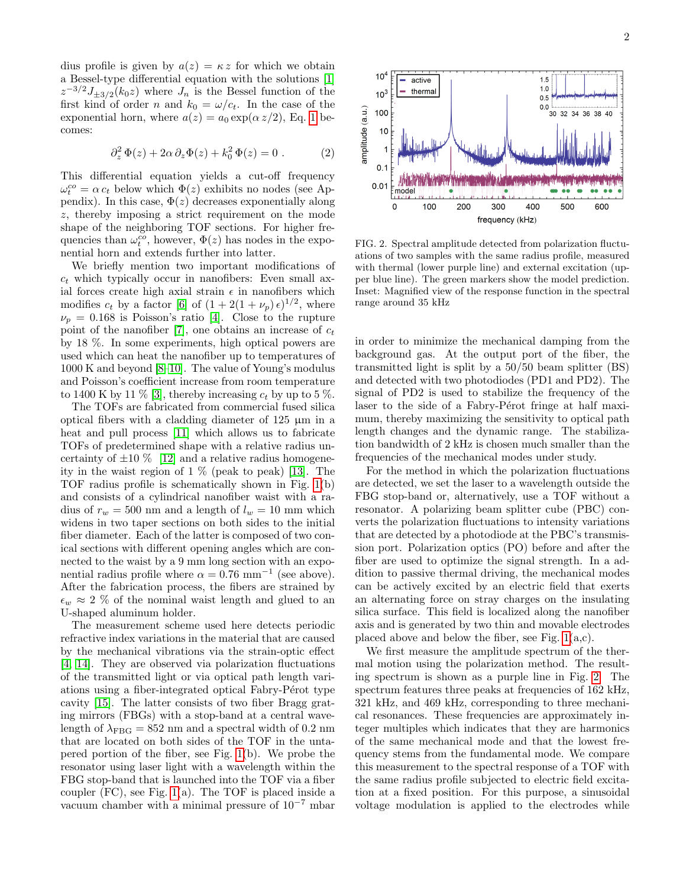dius profile is given by  $a(z) = \kappa z$  for which we obtain a Bessel-type differential equation with the solutions [\[1\]](#page-4-0)  $z^{-3/2}J_{\pm 3/2}(k_0z)$  where  $J_n$  is the Bessel function of the first kind of order n and  $k_0 = \omega/c_t$ . In the case of the exponential horn, where  $a(z) = a_0 \exp(\alpha z/2)$ , Eq. [1](#page-0-2) becomes:

$$
\partial_z^2 \Phi(z) + 2\alpha \partial_z \Phi(z) + k_0^2 \Phi(z) = 0.
$$
 (2)

This differential equation yields a cut-off frequency  $\omega_t^{co} = \alpha c_t$  below which  $\Phi(z)$  exhibits no nodes (see Appendix). In this case,  $\Phi(z)$  decreases exponentially along z, thereby imposing a strict requirement on the mode shape of the neighboring TOF sections. For higher frequencies than  $\omega_t^{co}$ , however,  $\Phi(z)$  has nodes in the exponential horn and extends further into latter.

We briefly mention two important modifications of  $c_t$  which typically occur in nanofibers: Even small axial forces create high axial strain  $\epsilon$  in nanofibers which modifies  $c_t$  by a factor [\[6\]](#page-4-4) of  $(1 + 2(1 + \nu_p) \epsilon)^{1/2}$ , where  $\nu_p = 0.168$  is Poisson's ratio [\[4\]](#page-4-5). Close to the rupture point of the nanofiber [\[7\]](#page-4-6), one obtains an increase of  $c_t$ by 18 %. In some experiments, high optical powers are used which can heat the nanofiber up to temperatures of 1000 K and beyond [\[8](#page-4-7)[–10\]](#page-4-8). The value of Young's modulus and Poisson's coefficient increase from room temperature to 1400 K by 11  $\%$  [\[3\]](#page-4-2), thereby increasing  $c_t$  by up to 5  $\%$ .

The TOFs are fabricated from commercial fused silica optical fibers with a cladding diameter of  $125 \mu m$  in a heat and pull process [\[11\]](#page-4-9) which allows us to fabricate TOFs of predetermined shape with a relative radius uncertainty of  $\pm 10\%$  [\[12\]](#page-4-10) and a relative radius homogeneity in the waist region of 1 % (peak to peak) [\[13\]](#page-4-11). The TOF radius profile is schematically shown in Fig. [1\(](#page-0-1)b) and consists of a cylindrical nanofiber waist with a radius of  $r_w = 500$  nm and a length of  $l_w = 10$  mm which widens in two taper sections on both sides to the initial fiber diameter. Each of the latter is composed of two conical sections with different opening angles which are connected to the waist by a 9 mm long section with an exponential radius profile where  $\alpha = 0.76$  mm<sup>-1</sup> (see above). After the fabrication process, the fibers are strained by  $\epsilon_w \approx 2\%$  of the nominal waist length and glued to an U-shaped aluminum holder.

The measurement scheme used here detects periodic refractive index variations in the material that are caused by the mechanical vibrations via the strain-optic effect [\[4,](#page-4-5) [14\]](#page-4-12). They are observed via polarization fluctuations of the transmitted light or via optical path length variations using a fiber-integrated optical Fabry-Pérot type cavity [\[15\]](#page-4-13). The latter consists of two fiber Bragg grating mirrors (FBGs) with a stop-band at a central wavelength of  $\lambda_{\text{FBG}} = 852$  nm and a spectral width of 0.2 nm that are located on both sides of the TOF in the untapered portion of the fiber, see Fig. [1\(](#page-0-1)b). We probe the resonator using laser light with a wavelength within the FBG stop-band that is launched into the TOF via a fiber coupler (FC), see Fig. [1\(](#page-0-1)a). The TOF is placed inside a vacuum chamber with a minimal pressure of 10<sup>−</sup><sup>7</sup> mbar



<span id="page-1-0"></span>FIG. 2. Spectral amplitude detected from polarization fluctuations of two samples with the same radius profile, measured with thermal (lower purple line) and external excitation (upper blue line). The green markers show the model prediction. Inset: Magnified view of the response function in the spectral range around 35 kHz

in order to minimize the mechanical damping from the background gas. At the output port of the fiber, the transmitted light is split by a 50/50 beam splitter (BS) and detected with two photodiodes (PD1 and PD2). The signal of PD2 is used to stabilize the frequency of the laser to the side of a Fabry-Pérot fringe at half maximum, thereby maximizing the sensitivity to optical path length changes and the dynamic range. The stabilization bandwidth of 2 kHz is chosen much smaller than the frequencies of the mechanical modes under study.

For the method in which the polarization fluctuations are detected, we set the laser to a wavelength outside the FBG stop-band or, alternatively, use a TOF without a resonator. A polarizing beam splitter cube (PBC) converts the polarization fluctuations to intensity variations that are detected by a photodiode at the PBC's transmission port. Polarization optics (PO) before and after the fiber are used to optimize the signal strength. In a addition to passive thermal driving, the mechanical modes can be actively excited by an electric field that exerts an alternating force on stray charges on the insulating silica surface. This field is localized along the nanofiber axis and is generated by two thin and movable electrodes placed above and below the fiber, see Fig.  $1(a,c)$ .

We first measure the amplitude spectrum of the thermal motion using the polarization method. The resulting spectrum is shown as a purple line in Fig. [2.](#page-1-0) The spectrum features three peaks at frequencies of 162 kHz, 321 kHz, and 469 kHz, corresponding to three mechanical resonances. These frequencies are approximately integer multiples which indicates that they are harmonics of the same mechanical mode and that the lowest frequency stems from the fundamental mode. We compare this measurement to the spectral response of a TOF with the same radius profile subjected to electric field excitation at a fixed position. For this purpose, a sinusoidal voltage modulation is applied to the electrodes while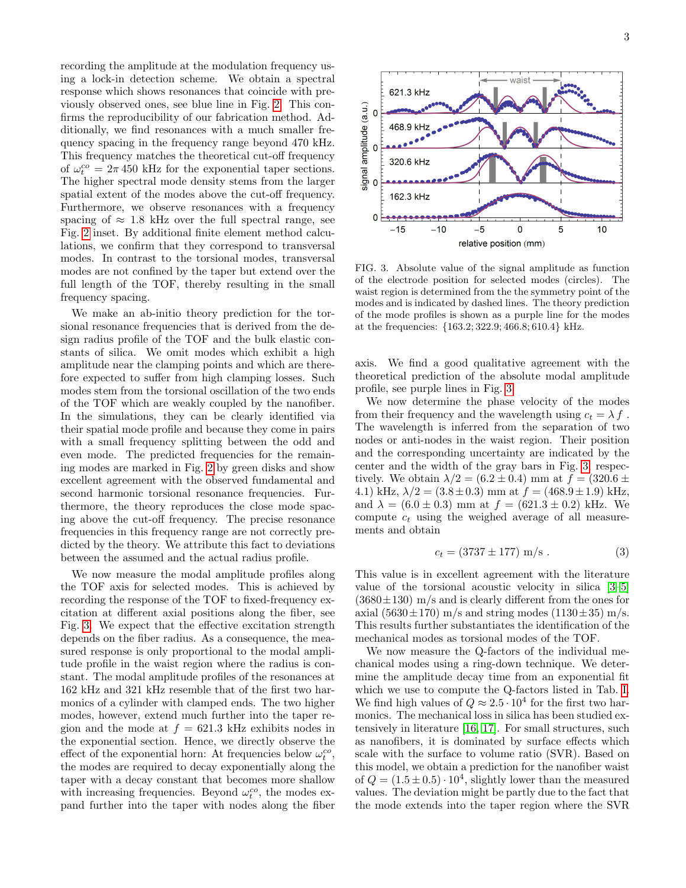recording the amplitude at the modulation frequency using a lock-in detection scheme. We obtain a spectral response which shows resonances that coincide with previously observed ones, see blue line in Fig. [2.](#page-1-0) This confirms the reproducibility of our fabrication method. Additionally, we find resonances with a much smaller frequency spacing in the frequency range beyond 470 kHz. This frequency matches the theoretical cut-off frequency of  $\omega_t^{co} = 2\pi 450$  kHz for the exponential taper sections. The higher spectral mode density stems from the larger spatial extent of the modes above the cut-off frequency. Furthermore, we observe resonances with a frequency spacing of  $\approx 1.8$  kHz over the full spectral range, see Fig. [2](#page-1-0) inset. By additional finite element method calculations, we confirm that they correspond to transversal modes. In contrast to the torsional modes, transversal modes are not confined by the taper but extend over the full length of the TOF, thereby resulting in the small frequency spacing.

We make an ab-initio theory prediction for the torsional resonance frequencies that is derived from the design radius profile of the TOF and the bulk elastic constants of silica. We omit modes which exhibit a high amplitude near the clamping points and which are therefore expected to suffer from high clamping losses. Such modes stem from the torsional oscillation of the two ends of the TOF which are weakly coupled by the nanofiber. In the simulations, they can be clearly identified via their spatial mode profile and because they come in pairs with a small frequency splitting between the odd and even mode. The predicted frequencies for the remaining modes are marked in Fig. [2](#page-1-0) by green disks and show excellent agreement with the observed fundamental and second harmonic torsional resonance frequencies. Furthermore, the theory reproduces the close mode spacing above the cut-off frequency. The precise resonance frequencies in this frequency range are not correctly predicted by the theory. We attribute this fact to deviations between the assumed and the actual radius profile.

We now measure the modal amplitude profiles along the TOF axis for selected modes. This is achieved by recording the response of the TOF to fixed-frequency excitation at different axial positions along the fiber, see Fig. [3.](#page-2-0) We expect that the effective excitation strength depends on the fiber radius. As a consequence, the measured response is only proportional to the modal amplitude profile in the waist region where the radius is constant. The modal amplitude profiles of the resonances at 162 kHz and 321 kHz resemble that of the first two harmonics of a cylinder with clamped ends. The two higher modes, however, extend much further into the taper region and the mode at  $f = 621.3$  kHz exhibits nodes in the exponential section. Hence, we directly observe the effect of the exponential horn: At frequencies below  $\omega_t^{co},$ the modes are required to decay exponentially along the taper with a decay constant that becomes more shallow with increasing frequencies. Beyond  $\omega_t^{co}$ , the modes expand further into the taper with nodes along the fiber



<span id="page-2-0"></span>FIG. 3. Absolute value of the signal amplitude as function of the electrode position for selected modes (circles). The waist region is determined from the the symmetry point of the modes and is indicated by dashed lines. The theory prediction of the mode profiles is shown as a purple line for the modes at the frequencies: {163.2; 322.9; 466.8; 610.4} kHz.

axis. We find a good qualitative agreement with the theoretical prediction of the absolute modal amplitude profile, see purple lines in Fig. [3.](#page-2-0)

We now determine the phase velocity of the modes from their frequency and the wavelength using  $c_t = \lambda f$ . The wavelength is inferred from the separation of two nodes or anti-nodes in the waist region. Their position and the corresponding uncertainty are indicated by the center and the width of the gray bars in Fig. [3,](#page-2-0) respectively. We obtain  $\lambda/2 = (6.2 \pm 0.4)$  mm at  $f = (320.6 \pm 0.4)$ 4.1) kHz,  $\lambda/2 = (3.8 \pm 0.3)$  mm at  $f = (468.9 \pm 1.9)$  kHz, and  $\lambda = (6.0 \pm 0.3)$  mm at  $f = (621.3 \pm 0.2)$  kHz. We compute  $c_t$  using the weighed average of all measurements and obtain

$$
c_t = (3737 \pm 177) \text{ m/s} \,. \tag{3}
$$

This value is in excellent agreement with the literature value of the torsional acoustic velocity in silica [\[3](#page-4-2)[–5\]](#page-4-3)  $(3680 \pm 130)$  m/s and is clearly different from the ones for axial  $(5630 \pm 170)$  m/s and string modes  $(1130 \pm 35)$  m/s. This results further substantiates the identification of the mechanical modes as torsional modes of the TOF.

We now measure the Q-factors of the individual mechanical modes using a ring-down technique. We determine the amplitude decay time from an exponential fit which we use to compute the Q-factors listed in Tab. [I.](#page-3-0) We find high values of  $Q \approx 2.5 \cdot 10^4$  for the first two harmonics. The mechanical loss in silica has been studied extensively in literature [\[16,](#page-4-14) [17\]](#page-4-15). For small structures, such as nanofibers, it is dominated by surface effects which scale with the surface to volume ratio (SVR). Based on this model, we obtain a prediction for the nanofiber waist of  $Q = (1.5 \pm 0.5) \cdot 10^4$ , slightly lower than the measured values. The deviation might be partly due to the fact that the mode extends into the taper region where the SVR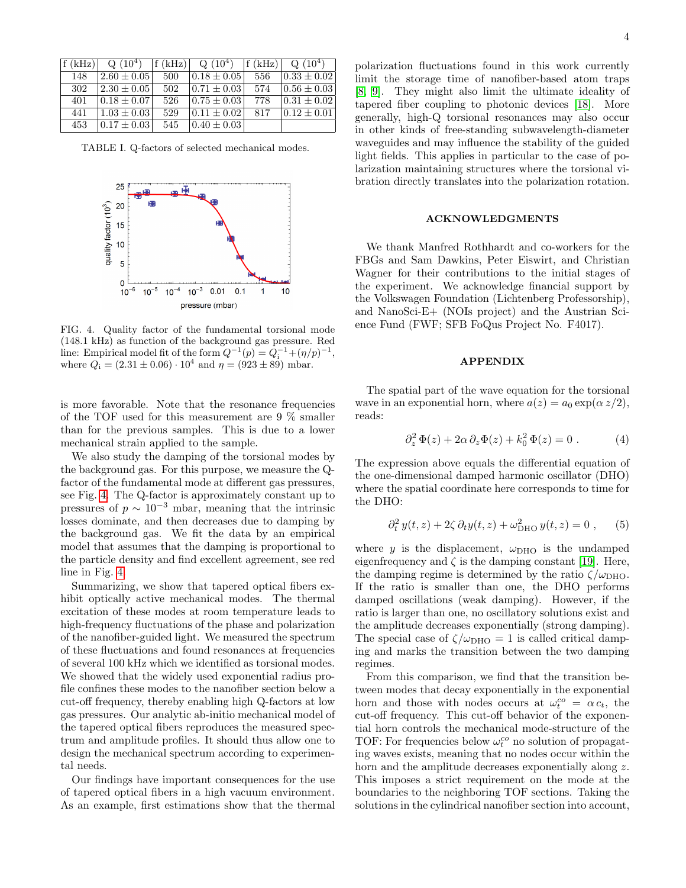| f(kHz) | $Q(10^4)$         | f(kHz) | $Q(10^4)$       | f(kHz) | $Q(10^4)$        |
|--------|-------------------|--------|-----------------|--------|------------------|
| 148    | $ 2.60 \pm 0.05 $ | 500    | $0.18 \pm 0.05$ | -556   | $0.33 \pm 0.02$  |
| 302    | $ 2.30 \pm 0.05 $ | 502    | $0.71 \pm 0.03$ | 574    | $10.56 \pm 0.03$ |
| 401    | $0.18 \pm 0.07$   | 526    | $0.75 \pm 0.03$ | 778    | $0.31 \pm 0.02$  |
| 441    | $1.03 \pm 0.03$   | 529    | $0.11 \pm 0.02$ | 817    | $0.12 \pm 0.01$  |
| 453    | $0.17 \pm 0.03$   | 545    | $0.40 \pm 0.03$ |        |                  |

<span id="page-3-0"></span>TABLE I. Q-factors of selected mechanical modes.



<span id="page-3-1"></span>FIG. 4. Quality factor of the fundamental torsional mode (148.1 kHz) as function of the background gas pressure. Red line: Empirical model fit of the form  $Q^{-1}(p) = Q_i^{-1} + (\eta/p)^{-1}$ , where  $Q_i = (2.31 \pm 0.06) \cdot 10^4$  and  $\eta = (923 \pm 89)$  mbar.

is more favorable. Note that the resonance frequencies of the TOF used for this measurement are 9 % smaller than for the previous samples. This is due to a lower mechanical strain applied to the sample.

We also study the damping of the torsional modes by the background gas. For this purpose, we measure the Qfactor of the fundamental mode at different gas pressures, see Fig. [4.](#page-3-1) The Q-factor is approximately constant up to pressures of  $p \sim 10^{-3}$  mbar, meaning that the intrinsic losses dominate, and then decreases due to damping by the background gas. We fit the data by an empirical model that assumes that the damping is proportional to the particle density and find excellent agreement, see red line in Fig. [4.](#page-3-1)

Summarizing, we show that tapered optical fibers exhibit optically active mechanical modes. The thermal excitation of these modes at room temperature leads to high-frequency fluctuations of the phase and polarization of the nanofiber-guided light. We measured the spectrum of these fluctuations and found resonances at frequencies of several 100 kHz which we identified as torsional modes. We showed that the widely used exponential radius profile confines these modes to the nanofiber section below a cut-off frequency, thereby enabling high Q-factors at low gas pressures. Our analytic ab-initio mechanical model of the tapered optical fibers reproduces the measured spectrum and amplitude profiles. It should thus allow one to design the mechanical spectrum according to experimental needs.

Our findings have important consequences for the use of tapered optical fibers in a high vacuum environment. As an example, first estimations show that the thermal

polarization fluctuations found in this work currently limit the storage time of nanofiber-based atom traps [\[8,](#page-4-7) [9\]](#page-4-16). They might also limit the ultimate ideality of tapered fiber coupling to photonic devices [\[18\]](#page-4-17). More generally, high-Q torsional resonances may also occur in other kinds of free-standing subwavelength-diameter waveguides and may influence the stability of the guided light fields. This applies in particular to the case of polarization maintaining structures where the torsional vibration directly translates into the polarization rotation.

## ACKNOWLEDGMENTS

We thank Manfred Rothhardt and co-workers for the FBGs and Sam Dawkins, Peter Eiswirt, and Christian Wagner for their contributions to the initial stages of the experiment. We acknowledge financial support by the Volkswagen Foundation (Lichtenberg Professorship), and NanoSci-E+ (NOIs project) and the Austrian Science Fund (FWF; SFB FoQus Project No. F4017).

## APPENDIX

The spatial part of the wave equation for the torsional wave in an exponential horn, where  $a(z) = a_0 \exp(\alpha z/2)$ , reads:

$$
\partial_z^2 \Phi(z) + 2\alpha \partial_z \Phi(z) + k_0^2 \Phi(z) = 0.
$$
 (4)

The expression above equals the differential equation of the one-dimensional damped harmonic oscillator (DHO) where the spatial coordinate here corresponds to time for the DHO:

$$
\partial_t^2 y(t, z) + 2\zeta \partial_t y(t, z) + \omega_{\text{DHO}}^2 y(t, z) = 0 , \qquad (5)
$$

where y is the displacement,  $\omega_{\text{DHO}}$  is the undamped eigenfrequency and  $\zeta$  is the damping constant [\[19\]](#page-4-18). Here, the damping regime is determined by the ratio  $\zeta/\omega_{\text{DHO}}$ . If the ratio is smaller than one, the DHO performs damped oscillations (weak damping). However, if the ratio is larger than one, no oscillatory solutions exist and the amplitude decreases exponentially (strong damping). The special case of  $\zeta/\omega_{\text{DHO}} = 1$  is called critical damping and marks the transition between the two damping regimes.

From this comparison, we find that the transition between modes that decay exponentially in the exponential horn and those with nodes occurs at  $\omega_t^{co} = \alpha c_t$ , the cut-off frequency. This cut-off behavior of the exponential horn controls the mechanical mode-structure of the TOF: For frequencies below  $\omega_t^{co}$  no solution of propagating waves exists, meaning that no nodes occur within the horn and the amplitude decreases exponentially along z. This imposes a strict requirement on the mode at the boundaries to the neighboring TOF sections. Taking the solutions in the cylindrical nanofiber section into account,